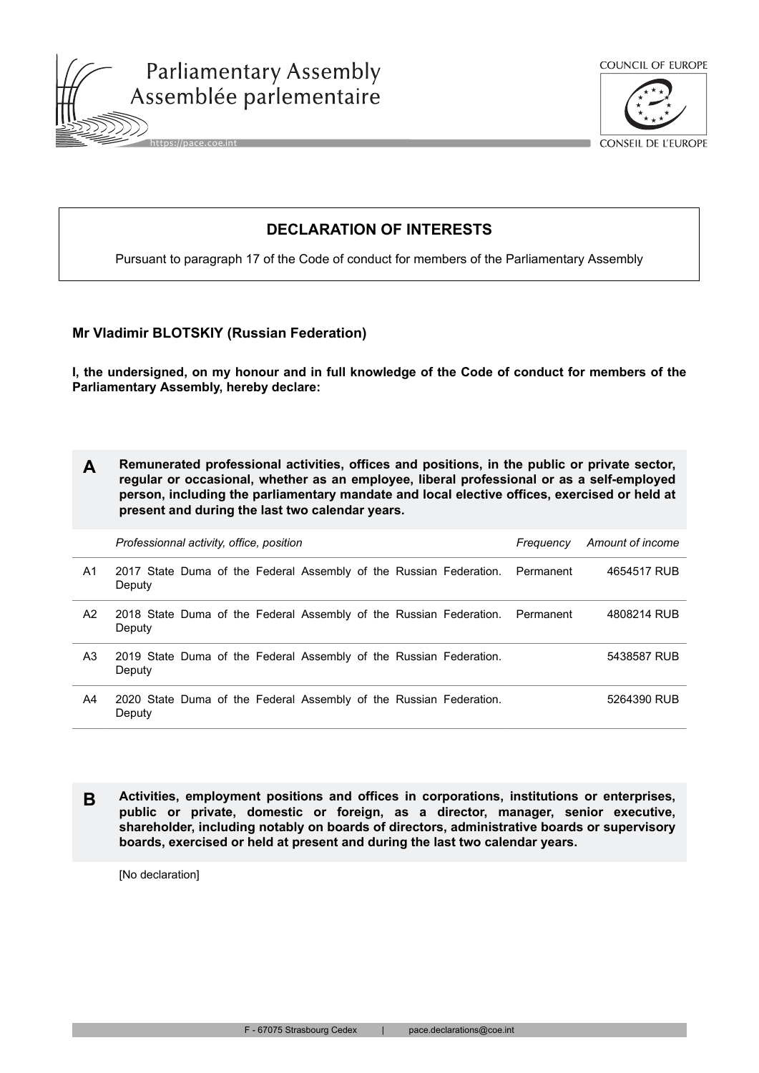





**DECLARATION OF INTERESTS**

Pursuant to paragraph 17 of the Code of conduct for members of the Parliamentary Assembly

## **Mr Vladimir BLOTSKIY (Russian Federation)**

**I, the undersigned, on my honour and in full knowledge of the Code of conduct for members of the Parliamentary Assembly, hereby declare:**

|  | Remunerated professional activities, offices and positions, in the public or private sector, |
|--|----------------------------------------------------------------------------------------------|
|  | regular or occasional, whether as an employee, liberal professional or as a self-employed    |
|  | person, including the parliamentary mandate and local elective offices, exercised or held at |
|  | present and during the last two calendar years.                                              |

|    | Professionnal activity, office, position                                     | Frequency | Amount of income |
|----|------------------------------------------------------------------------------|-----------|------------------|
| A1 | 2017 State Duma of the Federal Assembly of the Russian Federation.<br>Deputy | Permanent | 4654517 RUB      |
| A2 | 2018 State Duma of the Federal Assembly of the Russian Federation.<br>Deputy | Permanent | 4808214 RUB      |
| A3 | 2019 State Duma of the Federal Assembly of the Russian Federation.<br>Deputy |           | 5438587 RUB      |
| A4 | 2020 State Duma of the Federal Assembly of the Russian Federation.<br>Deputy |           | 5264390 RUB      |

**B Activities, employment positions and offices in corporations, institutions or enterprises, public or private, domestic or foreign, as a director, manager, senior executive, shareholder, including notably on boards of directors, administrative boards or supervisory boards, exercised or held at present and during the last two calendar years.**

[No declaration]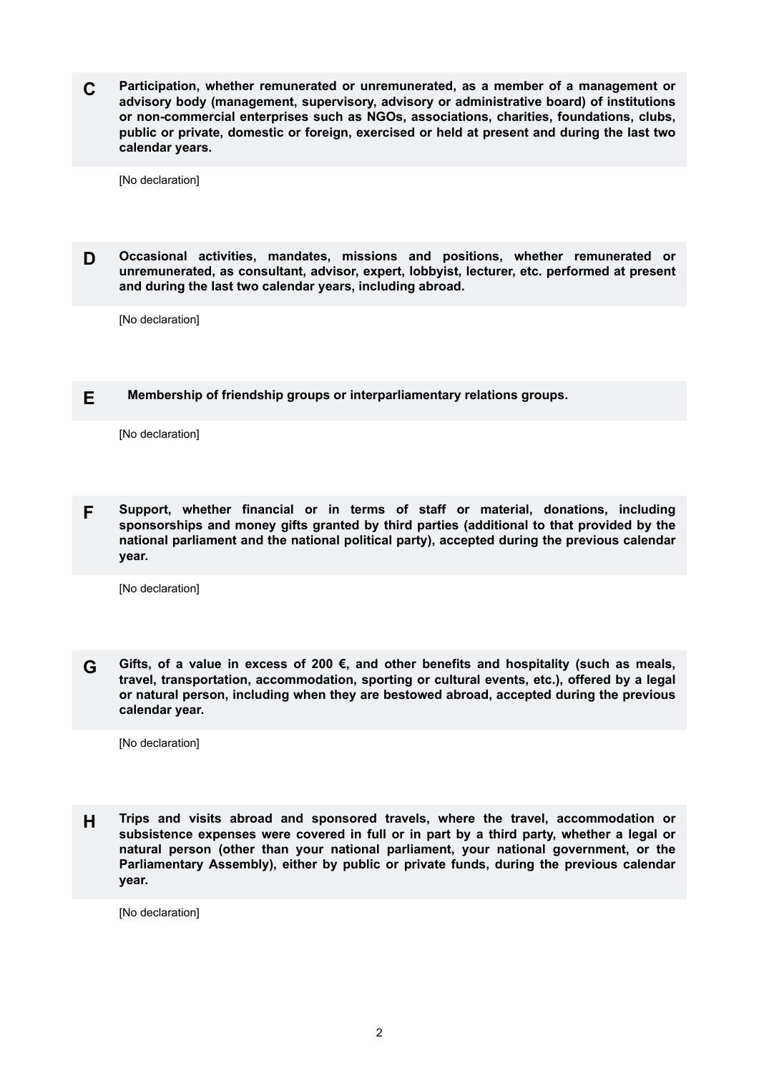**C Participation, whether remunerated or unremunerated, as a member of a management or advisory body (management, supervisory, advisory or administrative board) of institutions or non-commercial enterprises such as NGOs, associations, charities, foundations, clubs, public or private, domestic or foreign, exercised or held at present and during the last two calendar years.**

[No declaration]

**D Occasional activities, mandates, missions and positions, whether remunerated or unremunerated, as consultant, advisor, expert, lobbyist, lecturer, etc. performed at present and during the last two calendar years, including abroad.**

[No declaration]

## **E Membership of friendship groups or interparliamentary relations groups.**

[No declaration]

**F Support, whether financial or in terms of staff or material, donations, including sponsorships and money gifts granted by third parties (additional to that provided by the national parliament and the national political party), accepted during the previous calendar year.**

[No declaration]

**G Gifts, of a value in excess of 200 €, and other benefits and hospitality (such as meals, travel, transportation, accommodation, sporting or cultural events, etc.), offered by a legal or natural person, including when they are bestowed abroad, accepted during the previous calendar year.**

[No declaration]

**H Trips and visits abroad and sponsored travels, where the travel, accommodation or subsistence expenses were covered in full or in part by a third party, whether a legal or natural person (other than your national parliament, your national government, or the Parliamentary Assembly), either by public or private funds, during the previous calendar year.**

[No declaration]